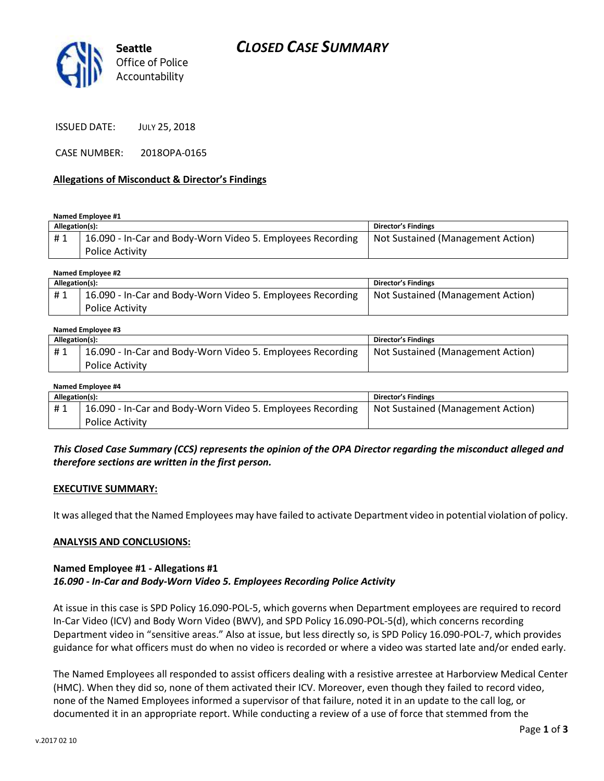

ISSUED DATE: JULY 25, 2018

CASE NUMBER: 2018OPA-0165

### **Allegations of Misconduct & Director's Findings**

**Named Employee #1**

| Allegation(s):<br>Director's Findings                                                      |                                   |
|--------------------------------------------------------------------------------------------|-----------------------------------|
| 16.090 - In-Car and Body-Worn Video 5. Employees Recording<br>#1<br><b>Police Activity</b> | Not Sustained (Management Action) |

**Named Employee #2**

| Allegation(s): |                                                                                      | <b>Director's Findings</b>        |
|----------------|--------------------------------------------------------------------------------------|-----------------------------------|
| #1             | 16.090 - In-Car and Body-Worn Video 5. Employees Recording<br><b>Police Activity</b> | Not Sustained (Management Action) |

#### **Named Employee #3**

| Allegation(s): |                                                                                      | Director's Findings               |
|----------------|--------------------------------------------------------------------------------------|-----------------------------------|
| #1             | 16.090 - In-Car and Body-Worn Video 5. Employees Recording<br><b>Police Activity</b> | Not Sustained (Management Action) |

#### **Named Employee #4**

| Allegation(s): |                                                            | Director's Findings               |
|----------------|------------------------------------------------------------|-----------------------------------|
| #1             | 16.090 - In-Car and Body-Worn Video 5. Employees Recording | Not Sustained (Management Action) |
|                | <b>Police Activity</b>                                     |                                   |

## *This Closed Case Summary (CCS) represents the opinion of the OPA Director regarding the misconduct alleged and therefore sections are written in the first person.*

### **EXECUTIVE SUMMARY:**

It was alleged that the Named Employees may have failed to activate Department video in potential violation of policy.

### **ANALYSIS AND CONCLUSIONS:**

### **Named Employee #1 - Allegations #1** *16.090 - In-Car and Body-Worn Video 5. Employees Recording Police Activity*

At issue in this case is SPD Policy 16.090-POL-5, which governs when Department employees are required to record In-Car Video (ICV) and Body Worn Video (BWV), and SPD Policy 16.090-POL-5(d), which concerns recording Department video in "sensitive areas." Also at issue, but less directly so, is SPD Policy 16.090-POL-7, which provides guidance for what officers must do when no video is recorded or where a video was started late and/or ended early.

The Named Employees all responded to assist officers dealing with a resistive arrestee at Harborview Medical Center (HMC). When they did so, none of them activated their ICV. Moreover, even though they failed to record video, none of the Named Employees informed a supervisor of that failure, noted it in an update to the call log, or documented it in an appropriate report. While conducting a review of a use of force that stemmed from the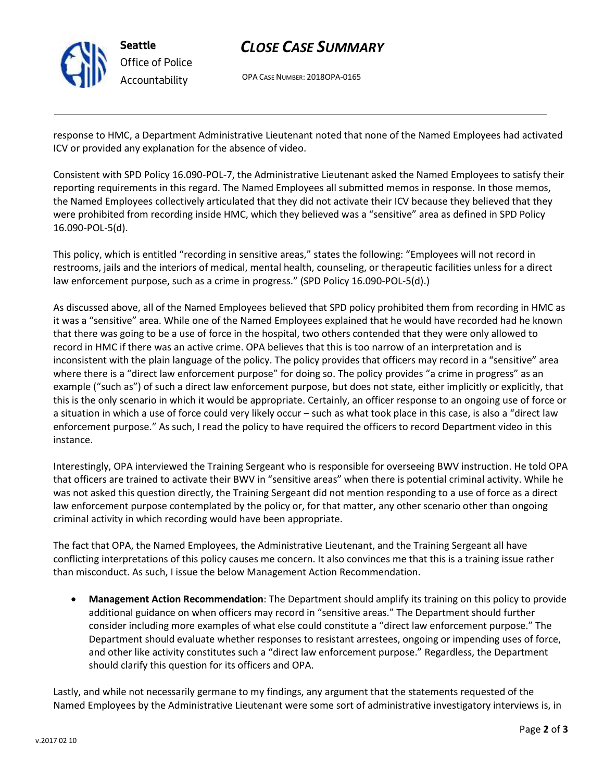

# *CLOSE CASE SUMMARY*

OPA CASE NUMBER: 2018OPA-0165

response to HMC, a Department Administrative Lieutenant noted that none of the Named Employees had activated ICV or provided any explanation for the absence of video.

Consistent with SPD Policy 16.090-POL-7, the Administrative Lieutenant asked the Named Employees to satisfy their reporting requirements in this regard. The Named Employees all submitted memos in response. In those memos, the Named Employees collectively articulated that they did not activate their ICV because they believed that they were prohibited from recording inside HMC, which they believed was a "sensitive" area as defined in SPD Policy 16.090-POL-5(d).

This policy, which is entitled "recording in sensitive areas," states the following: "Employees will not record in restrooms, jails and the interiors of medical, mental health, counseling, or therapeutic facilities unless for a direct law enforcement purpose, such as a crime in progress." (SPD Policy 16.090-POL-5(d).)

As discussed above, all of the Named Employees believed that SPD policy prohibited them from recording in HMC as it was a "sensitive" area. While one of the Named Employees explained that he would have recorded had he known that there was going to be a use of force in the hospital, two others contended that they were only allowed to record in HMC if there was an active crime. OPA believes that this is too narrow of an interpretation and is inconsistent with the plain language of the policy. The policy provides that officers may record in a "sensitive" area where there is a "direct law enforcement purpose" for doing so. The policy provides "a crime in progress" as an example ("such as") of such a direct law enforcement purpose, but does not state, either implicitly or explicitly, that this is the only scenario in which it would be appropriate. Certainly, an officer response to an ongoing use of force or a situation in which a use of force could very likely occur – such as what took place in this case, is also a "direct law enforcement purpose." As such, I read the policy to have required the officers to record Department video in this instance.

Interestingly, OPA interviewed the Training Sergeant who is responsible for overseeing BWV instruction. He told OPA that officers are trained to activate their BWV in "sensitive areas" when there is potential criminal activity. While he was not asked this question directly, the Training Sergeant did not mention responding to a use of force as a direct law enforcement purpose contemplated by the policy or, for that matter, any other scenario other than ongoing criminal activity in which recording would have been appropriate.

The fact that OPA, the Named Employees, the Administrative Lieutenant, and the Training Sergeant all have conflicting interpretations of this policy causes me concern. It also convinces me that this is a training issue rather than misconduct. As such, I issue the below Management Action Recommendation.

• **Management Action Recommendation**: The Department should amplify its training on this policy to provide additional guidance on when officers may record in "sensitive areas." The Department should further consider including more examples of what else could constitute a "direct law enforcement purpose." The Department should evaluate whether responses to resistant arrestees, ongoing or impending uses of force, and other like activity constitutes such a "direct law enforcement purpose." Regardless, the Department should clarify this question for its officers and OPA.

Lastly, and while not necessarily germane to my findings, any argument that the statements requested of the Named Employees by the Administrative Lieutenant were some sort of administrative investigatory interviews is, in